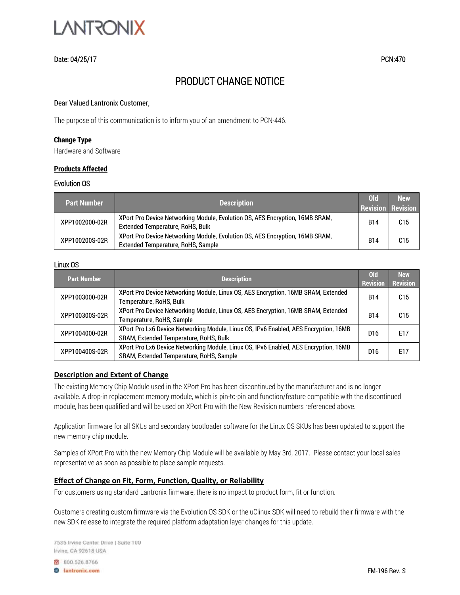

## Date: 04/25/17 PCN:470

# PRODUCT CHANGE NOTICE

#### Dear Valued Lantronix Customer,

The purpose of this communication is to inform you of an amendment to PCN-446.

## **Change Type**

Hardware and Software

## **Products Affected**

## Evolution OS

| l Part Number ' | <b>Description</b>                                                                                                      | $Q_{d}$<br><b>Revision Revision</b> | <b>New</b>      |
|-----------------|-------------------------------------------------------------------------------------------------------------------------|-------------------------------------|-----------------|
| XPP1002000-02R  | XPort Pro Device Networking Module, Evolution OS, AES Encryption, 16MB SRAM,<br><b>Extended Temperature, RoHS, Bulk</b> | <b>B14</b>                          | C <sub>15</sub> |
| XPP100200S-02R  | XPort Pro Device Networking Module, Evolution OS, AES Encryption, 16MB SRAM,<br>Extended Temperature, RoHS, Sample      | <b>B14</b>                          | C15             |

## Linux OS

| <b>Part Number</b> | <b>Description</b>                                                                                                               | <b>Old</b><br><b>Revision</b> | <b>New</b><br><b>Revision</b> |
|--------------------|----------------------------------------------------------------------------------------------------------------------------------|-------------------------------|-------------------------------|
| XPP1003000-02R     | XPort Pro Device Networking Module, Linux OS, AES Encryption, 16MB SRAM, Extended<br>Temperature, RoHS, Bulk                     | B14                           | C15                           |
| XPP100300S-02R     | XPort Pro Device Networking Module, Linux OS, AES Encryption, 16MB SRAM, Extended<br>Temperature, RoHS, Sample                   | <b>B14</b>                    | C15                           |
| XPP1004000-02R     | XPort Pro Lx6 Device Networking Module, Linux OS, IPv6 Enabled, AES Encryption, 16MB<br>SRAM, Extended Temperature, RoHS, Bulk   | D <sub>16</sub>               | E17                           |
| XPP100400S-02R     | XPort Pro Lx6 Device Networking Module, Linux OS, IPv6 Enabled, AES Encryption, 16MB<br>SRAM, Extended Temperature, RoHS, Sample | D16                           | E17                           |

## **Description and Extent of Change**

The existing Memory Chip Module used in the XPort Pro has been discontinued by the manufacturer and is no longer available. A drop-in replacement memory module, which is pin-to-pin and function/feature compatible with the discontinued module, has been qualified and will be used on XPort Pro with the New Revision numbers referenced above.

Application firmware for all SKUs and secondary bootloader software for the Linux OS SKUs has been updated to support the new memory chip module.

Samples of XPort Pro with the new Memory Chip Module will be available by May 3rd, 2017. Please contact your local sales representative as soon as possible to place sample requests.

## **Effect of Change on Fit, Form, Function, Quality, or Reliability**

For customers using standard Lantronix firmware, there is no impact to product form, fit or function.

Customers creating custom firmware via the Evolution OS SDK or the uClinux SDK will need to rebuild their firmware with the new SDK release to integrate the required platform adaptation layer changes for this update.

7535 Irvine Center Drive | Suite 100 Irvine, CA 92618 USA

8 800.526.8766 **B** lantronix.com